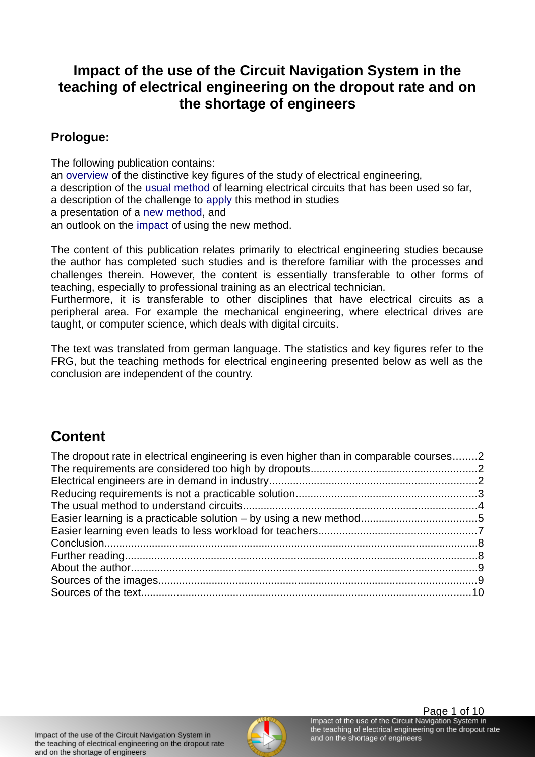# **Impact of the use of the Circuit Navigation System in the teaching of electrical engineering on the dropout rate and on the shortage of engineers**

# **Prologue:**

The following publication contains:

an [overview](#page-1-0) of the distinctive key figures of the study of electrical engineering, a description of the [usual method](#page-3-0) of learning electrical circuits that has been used so far, a description of the challenge to [apply](#page-3-1) this method in studies a presentation of a [new method](#page-4-0), and an outlook on the [impact](#page-7-1) of using the new method.

The content of this publication relates primarily to electrical engineering studies because the author has completed such studies and is therefore familiar with the processes and challenges therein. However, the content is essentially transferable to other forms of teaching, especially to professional training as an electrical technician.

Furthermore, it is transferable to other disciplines that have electrical circuits as a peripheral area. For example the mechanical engineering, where electrical drives are taught, or computer science, which deals with digital circuits.

The text was translated from german language. The statistics and key figures refer to the FRG, but the teaching methods for electrical engineering presented below as well as the conclusion are independent of the country.

# **Content**

| The dropout rate in electrical engineering is even higher than in comparable courses2 |  |
|---------------------------------------------------------------------------------------|--|
|                                                                                       |  |
|                                                                                       |  |
|                                                                                       |  |
|                                                                                       |  |
|                                                                                       |  |
|                                                                                       |  |
|                                                                                       |  |
|                                                                                       |  |
|                                                                                       |  |
|                                                                                       |  |
|                                                                                       |  |
|                                                                                       |  |

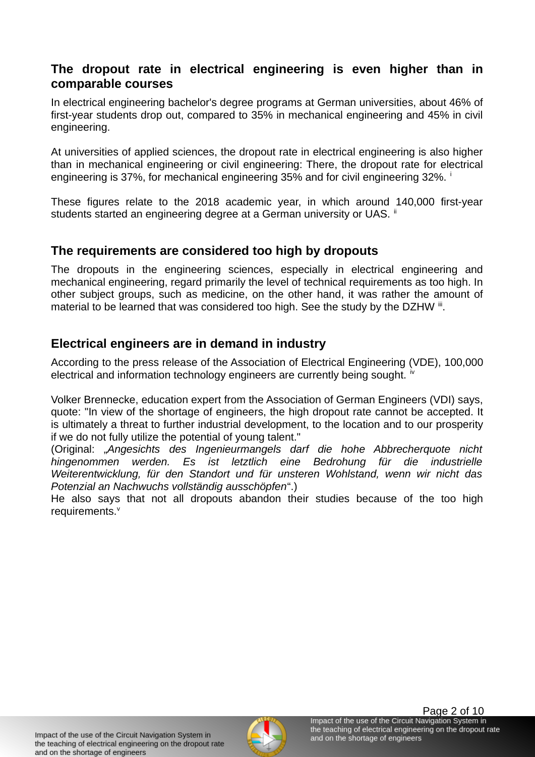#### <span id="page-1-0"></span>**The dropout rate in electrical engineering is even higher than in comparable courses**

In electrical engineering bachelor's degree programs at German universities, about 46% of first-year students drop out, compared to 35% in mechanical engineering and 45% in civil engineering.

At universities of applied sciences, the dropout rate in electrical engineering is also higher than in mechanical engineering or civil engineering: There, the dropout rate for electrical engineering is 37%, for mechanical engineering 35% and for civil engineering 32%. <sup>i</sup>

These figures relate to the 2018 academic year, in which around 140,000 first-year students started an engineering degree at a German university or UAS. <sup>ii</sup>

#### <span id="page-1-2"></span>**The requirements are considered too high by dropouts**

The dropouts in the engineering sciences, especially in electrical engineering and mechanical engineering, regard primarily the level of technical requirements as too high. In other subject groups, such as medicine, on the other hand, it was rather the amount of material to be learned that was considered too high. See the study by the DZHW iii.

### <span id="page-1-1"></span>**Electrical engineers are in demand in industry**

According to the press release of the Association of Electrical Engineering (VDE), 100,000 electrical and information technology engineers are currently being sought.  $\dot{v}$ 

Volker Brennecke, education expert from the Association of German Engineers (VDI) says, quote: "In view of the shortage of engineers, the high dropout rate cannot be accepted. It is ultimately a threat to further industrial development, to the location and to our prosperity if we do not fully utilize the potential of young talent."

(Original: "*Angesichts des Ingenieurmangels darf die hohe Abbrecherquote nicht hingenommen werden. Es ist letztlich eine Bedrohung für die industrielle Weiterentwicklung, für den Standort und für unsteren Wohlstand, wenn wir nicht das Potenzial an Nachwuchs vollständig ausschöpfen*".)

He also says that not all dropouts abandon their studies because of the too high requirements.<sup>v</sup>

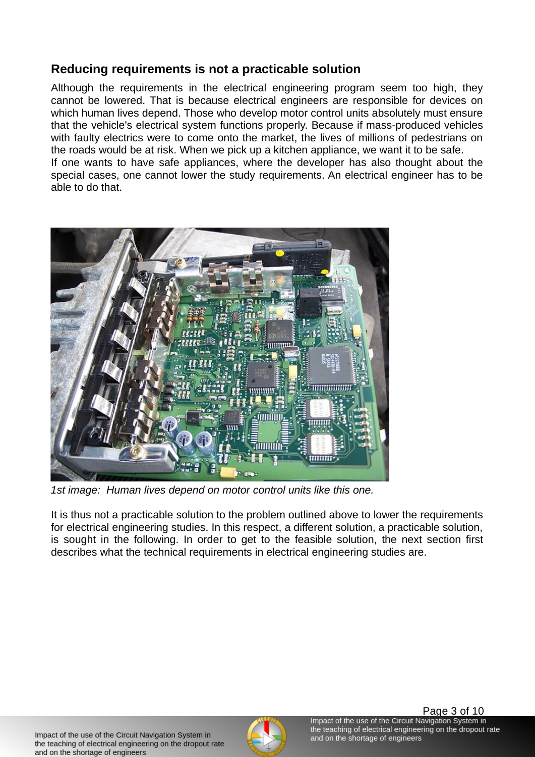# <span id="page-2-0"></span>**Reducing requirements is not a practicable solution**

Although the requirements in the electrical engineering program seem too high, they cannot be lowered. That is because electrical engineers are responsible for devices on which human lives depend. Those who develop motor control units absolutely must ensure that the vehicle's electrical system functions properly. Because if mass-produced vehicles with faulty electrics were to come onto the market, the lives of millions of pedestrians on the roads would be at risk. When we pick up a kitchen appliance, we want it to be safe. If one wants to have safe appliances, where the developer has also thought about the special cases, one cannot lower the study requirements. An electrical engineer has to be able to do that.



*1st image: Human lives depend on motor control units like this one.*

It is thus not a practicable solution to the problem outlined above to lower the requirements for electrical engineering studies. In this respect, a different solution, a practicable solution, is sought in the following. In order to get to the feasible solution, the next section first describes what the technical requirements in electrical engineering studies are.

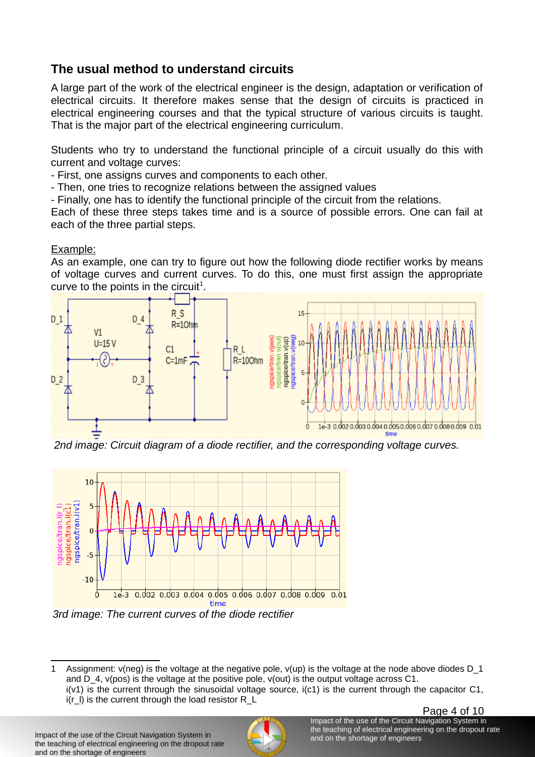# <span id="page-3-0"></span>**The usual method to understand circuits**

A large part of the work of the electrical engineer is the design, adaptation or verification of electrical circuits. It therefore makes sense that the design of circuits is practiced in electrical engineering courses and that the typical structure of various circuits is taught. That is the major part of the electrical engineering curriculum.

<span id="page-3-1"></span>Students who try to understand the functional principle of a circuit usually do this with current and voltage curves:

- First, one assigns curves and components to each other.

- Then, one tries to recognize relations between the assigned values

- Finally, one has to identify the functional principle of the circuit from the relations.

Each of these three steps takes time and is a source of possible errors. One can fail at each of the three partial steps.

#### Example:

As an example, one can try to figure out how the following diode rectifier works by means of voltage curves and current curves. To do this, one must first assign the appropriate curve to the points in the circuit<sup>[1](#page-3-2)</sup>.



*2nd image: Circuit diagram of a diode rectifier, and the corresponding voltage curves.* 



*3rd image: The current curves of the diode rectifier*



<span id="page-3-2"></span><sup>1</sup> Assignment: v(neg) is the voltage at the negative pole, v(up) is the voltage at the node above diodes D\_1 and  $D_4$ , v(pos) is the voltage at the positive pole, v(out) is the output voltage across C1.  $i(v1)$  is the current through the sinusoidal voltage source,  $i(c1)$  is the current through the capacitor C1,  $i(r_l)$  is the current through the load resistor R<sub>L</sub>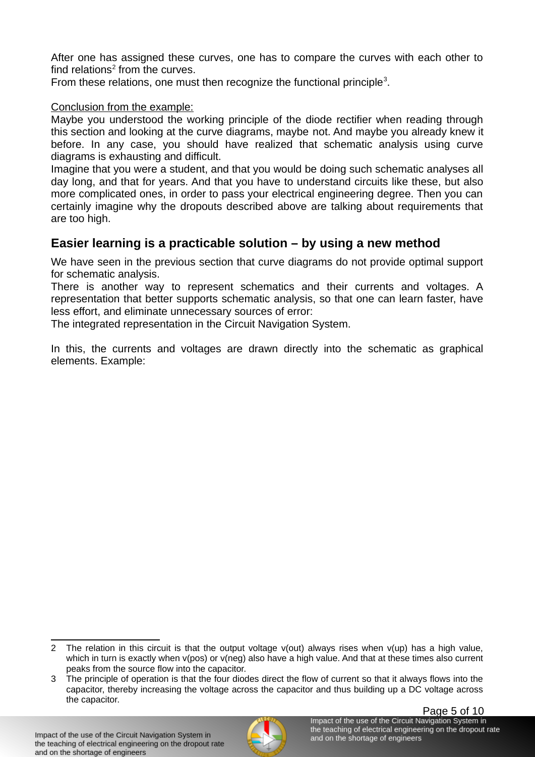After one has assigned these curves, one has to compare the curves with each other to find relations $2$  from the curves.

From these relations, one must then recognize the functional principle<sup>[3](#page-4-2)</sup>.

#### Conclusion from the example:

Maybe you understood the working principle of the diode rectifier when reading through this section and looking at the curve diagrams, maybe not. And maybe you already knew it before. In any case, you should have realized that schematic analysis using curve diagrams is exhausting and difficult.

Imagine that you were a student, and that you would be doing such schematic analyses all day long, and that for years. And that you have to understand circuits like these, but also more complicated ones, in order to pass your electrical engineering degree. Then you can certainly imagine why the dropouts described above are talking about requirements that are too high.

## <span id="page-4-0"></span>**Easier learning is a practicable solution – by using a new method**

We have seen in the previous section that curve diagrams do not provide optimal support for schematic analysis.

There is another way to represent schematics and their currents and voltages. A representation that better supports schematic analysis, so that one can learn faster, have less effort, and eliminate unnecessary sources of error:

The integrated representation in the Circuit Navigation System.

In this, the currents and voltages are drawn directly into the schematic as graphical elements. Example:



<span id="page-4-1"></span><sup>2</sup> The relation in this circuit is that the output voltage v(out) always rises when v(up) has a high value, which in turn is exactly when y(pos) or y(neg) also have a high value. And that at these times also current peaks from the source flow into the capacitor.

<span id="page-4-2"></span><sup>3</sup> The principle of operation is that the four diodes direct the flow of current so that it always flows into the capacitor, thereby increasing the voltage across the capacitor and thus building up a DC voltage across the capacitor.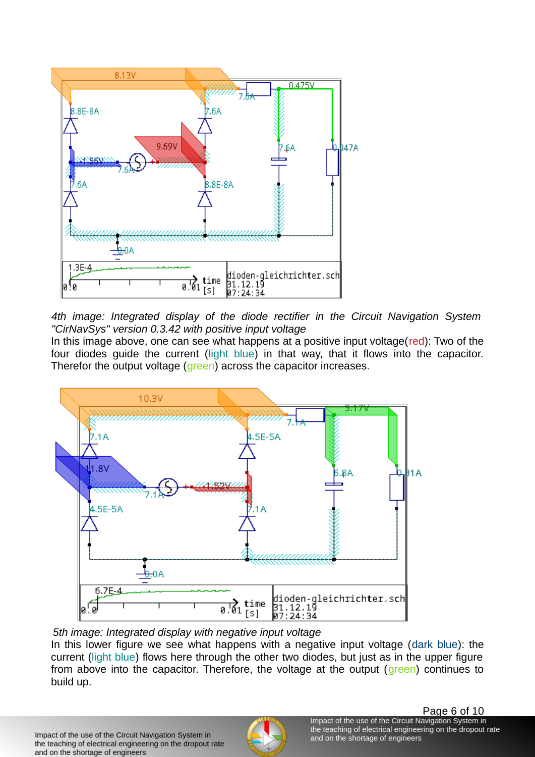

*4th image: Integrated display of the diode rectifier in the Circuit Navigation System "CirNavSys" version 0.3.42 with positive input voltage*

In this image above, one can see what happens at a positive input voltage( $red$ ): Two of the four diodes guide the current (light blue) in that way, that it flows into the capacitor. Therefor the output voltage (green) across the capacitor increases.



#### *5th image: Integrated display with negative input voltage*

In this lower figure we see what happens with a negative input voltage (dark blue): the current (light blue) flows here through the other two diodes, but just as in the upper figure from above into the capacitor. Therefore, the voltage at the output (green) continues to build up.

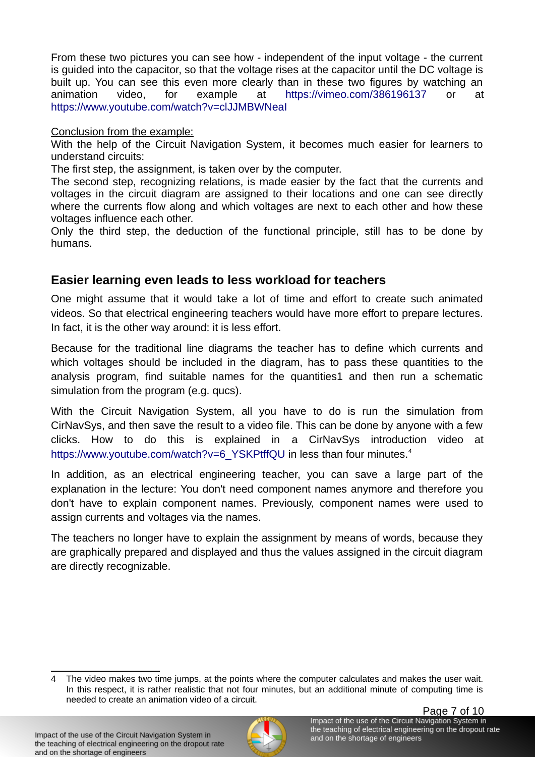From these two pictures you can see how - independent of the input voltage - the current is guided into the capacitor, so that the voltage rises at the capacitor until the DC voltage is built up. You can see this even more clearly than in these two figures by watching an animation video, for example at<https://vimeo.com/386196137> or at <https://www.youtube.com/watch?v=clJJMBWNeaI>

Conclusion from the example:

With the help of the Circuit Navigation System, it becomes much easier for learners to understand circuits:

The first step, the assignment, is taken over by the computer.

The second step, recognizing relations, is made easier by the fact that the currents and voltages in the circuit diagram are assigned to their locations and one can see directly where the currents flow along and which voltages are next to each other and how these voltages influence each other.

Only the third step, the deduction of the functional principle, still has to be done by humans.

## <span id="page-6-0"></span>**Easier learning even leads to less workload for teachers**

One might assume that it would take a lot of time and effort to create such animated videos. So that electrical engineering teachers would have more effort to prepare lectures. In fact, it is the other way around: it is less effort.

Because for the traditional line diagrams the teacher has to define which currents and which voltages should be included in the diagram, has to pass these quantities to the analysis program, find suitable names for the quantities1 and then run a schematic simulation from the program (e.g. qucs).

With the Circuit Navigation System, all you have to do is run the simulation from CirNavSys, and then save the result to a video file. This can be done by anyone with a few clicks. How to do this is explained in a CirNavSys introduction video at [https://www.youtube.com/watch?v=6\\_YSKPtffQU](https://www.youtube.com/watch?v=6_YSKPtffQU) in less than four minutes.<sup>[4](#page-6-1)</sup>

In addition, as an electrical engineering teacher, you can save a large part of the explanation in the lecture: You don't need component names anymore and therefore you don't have to explain component names. Previously, component names were used to assign currents and voltages via the names.

The teachers no longer have to explain the assignment by means of words, because they are graphically prepared and displayed and thus the values assigned in the circuit diagram are directly recognizable.



<span id="page-6-1"></span>The video makes two time jumps, at the points where the computer calculates and makes the user wait. In this respect, it is rather realistic that not four minutes, but an additional minute of computing time is needed to create an animation video of a circuit.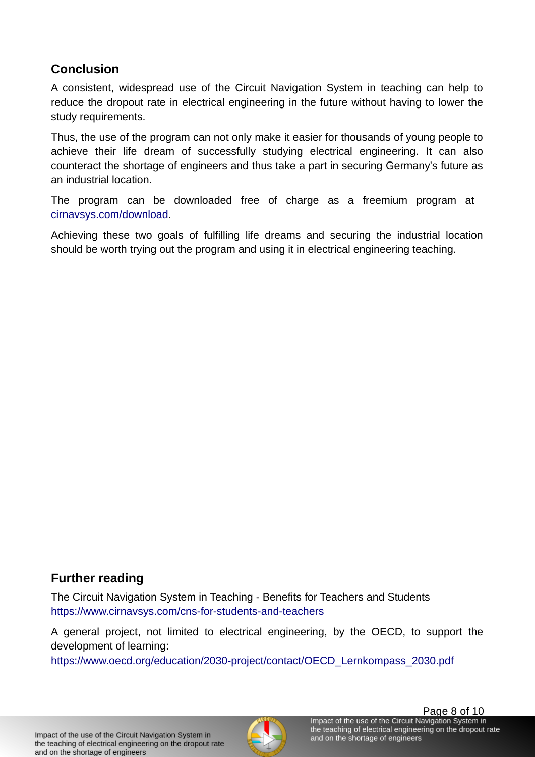# <span id="page-7-1"></span>**Conclusion**

A consistent, widespread use of the Circuit Navigation System in teaching can help to reduce the dropout rate in electrical engineering in the future without having to lower the study requirements.

Thus, the use of the program can not only make it easier for thousands of young people to achieve their life dream of successfully studying electrical engineering. It can also counteract the shortage of engineers and thus take a part in securing Germany's future as an industrial location.

The program can be downloaded free of charge as a freemium program at [cirnavsys.com/download.](https://www.cirnavsys.com/download)

Achieving these two goals of fulfilling life dreams and securing the industrial location should be worth trying out the program and using it in electrical engineering teaching.

# <span id="page-7-0"></span>**Further reading**

The Circuit Navigation System in Teaching - Benefits for Teachers and Students <https://www.cirnavsys.com/cns-for-students-and-teachers>

A general project, not limited to electrical engineering, by the OECD, to support the development of learning:

[https://www.oecd.org/education/2030-project/contact/OECD\\_Lernkompass\\_2030.pdf](https://www.oecd.org/education/2030-project/contact/OECD_Lernkompass_2030.pdf)

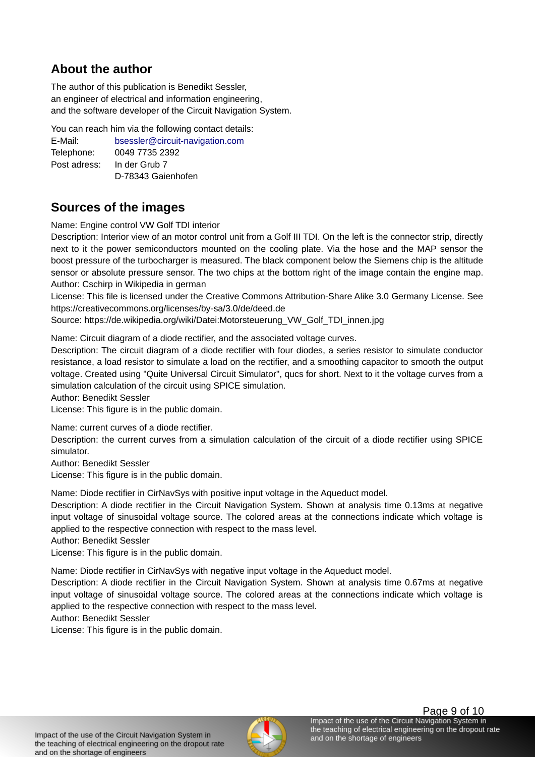## <span id="page-8-1"></span>**About the author**

The author of this publication is Benedikt Sessler, an engineer of electrical and information engineering, and the software developer of the Circuit Navigation System.

You can reach him via the following contact details:

| E-Mail:      | bsessler@circuit-navigation.com |
|--------------|---------------------------------|
| Telephone:   | 0049 7735 2392                  |
| Post adress: | In der Grub 7                   |
|              | D-78343 Gaienhofen              |

#### <span id="page-8-0"></span>**Sources of the images**

Name: Engine control VW Golf TDI interior

Description: Interior view of an motor control unit from a Golf III TDI. On the left is the connector strip, directly next to it the power semiconductors mounted on the cooling plate. Via the hose and the MAP sensor the boost pressure of the turbocharger is measured. The black component below the Siemens chip is the altitude sensor or absolute pressure sensor. The two chips at the bottom right of the image contain the engine map. Author: Cschirp in Wikipedia in german

License: This file is licensed under the Creative Commons Attribution-Share Alike 3.0 Germany License. See https://creativecommons.org/licenses/by-sa/3.0/de/deed.de

Source: https://de.wikipedia.org/wiki/Datei:Motorsteuerung\_VW\_Golf\_TDI\_innen.jpg

Name: Circuit diagram of a diode rectifier, and the associated voltage curves.

Description: The circuit diagram of a diode rectifier with four diodes, a series resistor to simulate conductor resistance, a load resistor to simulate a load on the rectifier, and a smoothing capacitor to smooth the output voltage. Created using "Quite Universal Circuit Simulator", qucs for short. Next to it the voltage curves from a simulation calculation of the circuit using SPICE simulation.

Author: Benedikt Sessler

License: This figure is in the public domain.

Name: current curves of a diode rectifier.

Description: the current curves from a simulation calculation of the circuit of a diode rectifier using SPICE simulator.

Author: Benedikt Sessler

License: This figure is in the public domain.

Name: Diode rectifier in CirNavSys with positive input voltage in the Aqueduct model.

Description: A diode rectifier in the Circuit Navigation System. Shown at analysis time 0.13ms at negative input voltage of sinusoidal voltage source. The colored areas at the connections indicate which voltage is applied to the respective connection with respect to the mass level.

Author: Benedikt Sessler

License: This figure is in the public domain.

Name: Diode rectifier in CirNavSys with negative input voltage in the Aqueduct model.

Description: A diode rectifier in the Circuit Navigation System. Shown at analysis time 0.67ms at negative input voltage of sinusoidal voltage source. The colored areas at the connections indicate which voltage is applied to the respective connection with respect to the mass level.

Author: Benedikt Sessler

License: This figure is in the public domain.